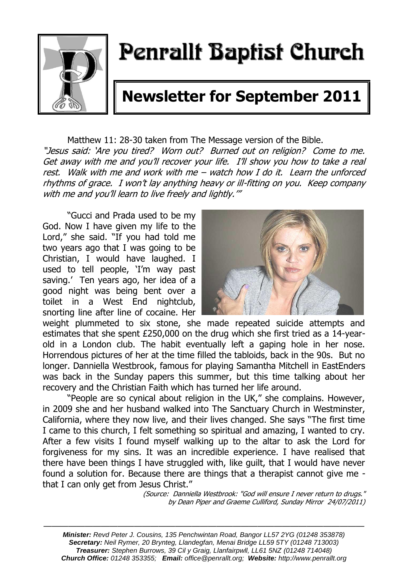

# Penrallt Baptist Church

# **Newsletter for September 2011**

Matthew 11: 28-30 taken from The Message version of the Bible. "Jesus said: 'Are you tired? Worn out? Burned out on religion? Come to me. Get away with me and you'll recover your life. I'll show you how to take a real rest. Walk with me and work with me – watch how I do it. Learn the unforced rhythms of grace. I won't lay anything heavy or ill-fitting on you. Keep company with me and you'll learn to live freely and lightly.'"

"Gucci and Prada used to be my God. Now I have given my life to the Lord," she said. "If you had told me two years ago that I was going to be Christian, I would have laughed. I used to tell people, 'I'm way past saving.' Ten years ago, her idea of a good night was being bent over a toilet in a West End nightclub, snorting line after line of cocaine. Her



weight plummeted to six stone, she made repeated suicide attempts and estimates that she spent £250,000 on the drug which she first tried as a 14-yearold in a London club. The habit eventually left a gaping hole in her nose. Horrendous pictures of her at the time filled the tabloids, back in the 90s. But no longer. Danniella Westbrook, famous for playing Samantha Mitchell in EastEnders was back in the Sunday papers this summer, but this time talking about her recovery and the Christian Faith which has turned her life around.

"People are so cynical about religion in the UK," she complains. However, in 2009 she and her husband walked into The Sanctuary Church in Westminster, California, where they now live, and their lives changed. She says "The first time I came to this church, I felt something so spiritual and amazing, I wanted to cry. After a few visits I found myself walking up to the altar to ask the Lord for forgiveness for my sins. It was an incredible experience. I have realised that there have been things I have struggled with, like guilt, that I would have never found a solution for. Because there are things that a therapist cannot give me that I can only get from Jesus Christ."

(Source: Danniella Westbrook: "God will ensure I never return to drugs." by Dean Piper and Graeme Culliford, Sunday Mirror 24/07/2011)

———————————————————————————————————————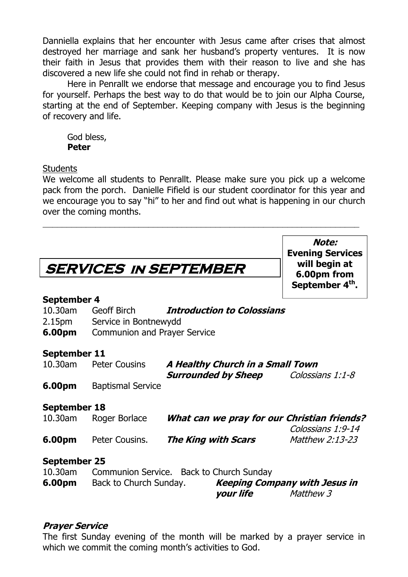Danniella explains that her encounter with Jesus came after crises that almost destroyed her marriage and sank her husband's property ventures. It is now their faith in Jesus that provides them with their reason to live and she has discovered a new life she could not find in rehab or therapy.

Here in Penrallt we endorse that message and encourage you to find Jesus for yourself. Perhaps the best way to do that would be to join our Alpha Course, starting at the end of September. Keeping company with Jesus is the beginning of recovery and life.

God bless, **Peter**

#### **Students**

We welcome all students to Penrallt. Please make sure you pick up a welcome pack from the porch. Danielle Fifield is our student coordinator for this year and we encourage you to say "hi" to her and find out what is happening in our church over the coming months.

 $\_$  , and the set of the set of the set of the set of the set of the set of the set of the set of the set of the set of the set of the set of the set of the set of the set of the set of the set of the set of the set of th

**Note:**

|                     |                                     |                                                                                               | <b>Evening Services</b>     |
|---------------------|-------------------------------------|-----------------------------------------------------------------------------------------------|-----------------------------|
|                     | <b>SERVICES IN SEPTEMBER</b>        | will begin at<br>6.00pm from                                                                  |                             |
|                     |                                     |                                                                                               | September 4 <sup>th</sup> . |
| <b>September 4</b>  |                                     |                                                                                               |                             |
|                     | 10.30am Geoff Birch                 | <b>Introduction to Colossians</b>                                                             |                             |
|                     | 2.15pm Service in Bontnewydd        |                                                                                               |                             |
| 6.00pm              | <b>Communion and Prayer Service</b> |                                                                                               |                             |
| September 11        |                                     |                                                                                               |                             |
| 10.30am             | <b>Peter Cousins</b>                | A Healthy Church in a Small Town                                                              |                             |
|                     |                                     | <b>Surrounded by Sheep</b>                                                                    | Colossians 1:1-8            |
| 6.00pm              | <b>Baptismal Service</b>            |                                                                                               |                             |
| <b>September 18</b> |                                     |                                                                                               |                             |
| 10.30am             | Roger Borlace                       | What can we pray for our Christian friends?                                                   | Colossians 1:9-14           |
| 6.00pm              | Peter Cousins.                      | The King with Scars                                                                           | Matthew 2:13-23             |
| <b>September 25</b> |                                     |                                                                                               |                             |
|                     |                                     | 10.30am Communion Service. Back to Church Sunday                                              |                             |
|                     |                                     | <b>6.00pm</b> Back to Church Sunday. <b>Keeping Company with Jesus in</b><br><i>your life</i> | Matthew 3                   |
|                     |                                     |                                                                                               |                             |

#### **Prayer Service**

The first Sunday evening of the month will be marked by a prayer service in which we commit the coming month's activities to God.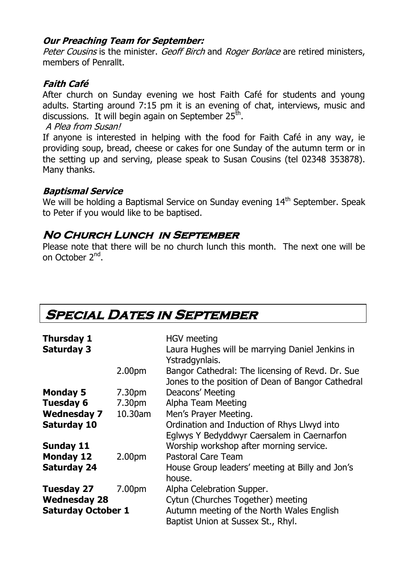#### **Our Preaching Team for September:**

Peter Cousins is the minister. Geoff Birch and Roger Borlace are retired ministers, members of Penrallt.

# **Faith Café**

After church on Sunday evening we host Faith Café for students and young adults. Starting around 7:15 pm it is an evening of chat, interviews, music and discussions. It will begin again on September 25<sup>th</sup>.

#### A Plea from Susan!

If anyone is interested in helping with the food for Faith Café in any way, ie providing soup, bread, cheese or cakes for one Sunday of the autumn term or in the setting up and serving, please speak to Susan Cousins (tel 02348 353878). Many thanks.

#### **Baptismal Service**

We will be holding a Baptismal Service on Sunday evening 14<sup>th</sup> September. Speak to Peter if you would like to be baptised.

# **No Church Lunch in September**

Please note that there will be no church lunch this month. The next one will be on October 2<sup>nd</sup>.

|  |  | <b>SPECIAL DATES IN SEPTEMBER</b> |
|--|--|-----------------------------------|
|--|--|-----------------------------------|

| <b>Thursday 1</b><br><b>Saturday 3</b> |                    | <b>HGV</b> meeting<br>Laura Hughes will be marrying Daniel Jenkins in                                                   |  |
|----------------------------------------|--------------------|-------------------------------------------------------------------------------------------------------------------------|--|
|                                        | 2.00pm             | Ystradgynlais.<br>Bangor Cathedral: The licensing of Revd. Dr. Sue<br>Jones to the position of Dean of Bangor Cathedral |  |
| <b>Monday 5</b>                        | 7.30 <sub>pm</sub> | Deacons' Meeting                                                                                                        |  |
| <b>Tuesday 6</b>                       | 7.30pm             | Alpha Team Meeting                                                                                                      |  |
| <b>Wednesday 7</b>                     | 10.30am            | Men's Prayer Meeting.                                                                                                   |  |
| <b>Saturday 10</b>                     |                    | Ordination and Induction of Rhys Llwyd into<br>Eglwys Y Bedyddwyr Caersalem in Caernarfon                               |  |
| <b>Sunday 11</b>                       |                    | Worship workshop after morning service.                                                                                 |  |
| <b>Monday 12</b>                       | 2.00 <sub>pm</sub> | <b>Pastoral Care Team</b>                                                                                               |  |
| <b>Saturday 24</b>                     |                    | House Group leaders' meeting at Billy and Jon's<br>house.                                                               |  |
| <b>Tuesday 27</b>                      | 7.00pm             | Alpha Celebration Supper.                                                                                               |  |
| <b>Wednesday 28</b>                    |                    | Cytun (Churches Together) meeting                                                                                       |  |
| <b>Saturday October 1</b>              |                    | Autumn meeting of the North Wales English<br>Baptist Union at Sussex St., Rhyl.                                         |  |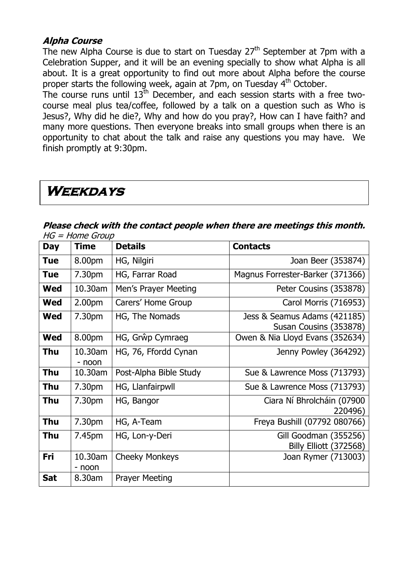#### **Alpha Course**

The new Alpha Course is due to start on Tuesday  $27<sup>th</sup>$  September at 7pm with a Celebration Supper, and it will be an evening specially to show what Alpha is all about. It is a great opportunity to find out more about Alpha before the course proper starts the following week, again at 7pm, on Tuesday 4th October.

The course runs until  $13<sup>th</sup>$  December, and each session starts with a free twocourse meal plus tea/coffee, followed by a talk on a question such as Who is Jesus?, Why did he die?, Why and how do you pray?, How can I have faith? and many more questions. Then everyone breaks into small groups when there is an opportunity to chat about the talk and raise any questions you may have. We finish promptly at 9:30pm.

# **Weekdays**

#### **Please check with the contact people when there are meetings this month.**   $HG = Home$  Group

| <b>Day</b> | <b>Time</b>        | <b>Details</b>         | <b>Contacts</b>                                        |
|------------|--------------------|------------------------|--------------------------------------------------------|
| <b>Tue</b> | 8.00pm             | HG, Nilgiri            | Joan Beer (353874)                                     |
| <b>Tue</b> | 7.30pm             | HG, Farrar Road        | Magnus Forrester-Barker (371366)                       |
| <b>Wed</b> | 10.30am            | Men's Prayer Meeting   | Peter Cousins (353878)                                 |
| Wed        | 2.00 <sub>pm</sub> | Carers' Home Group     | Carol Morris (716953)                                  |
| <b>Wed</b> | 7.30pm             | HG, The Nomads         | Jess & Seamus Adams (421185)<br>Susan Cousins (353878) |
| <b>Wed</b> | 8.00pm             | HG, Grŵp Cymraeg       | Owen & Nia Lloyd Evans (352634)                        |
| <b>Thu</b> | 10.30am<br>- noon  | HG, 76, Ffordd Cynan   | Jenny Powley (364292)                                  |
| <b>Thu</b> | 10.30am            | Post-Alpha Bible Study | Sue & Lawrence Moss (713793)                           |
| <b>Thu</b> | 7.30pm             | HG, Llanfairpwll       | Sue & Lawrence Moss (713793)                           |
| <b>Thu</b> | 7.30pm             | HG, Bangor             | Ciara Ní Bhrolcháin (07900<br>220496)                  |
| <b>Thu</b> | 7.30pm             | HG, A-Team             | Freya Bushill (07792 080766)                           |
| Thu        | 7.45pm             | HG, Lon-y-Deri         | Gill Goodman (355256)<br>Billy Elliott (372568)        |
| Fri        | 10.30am<br>- noon  | <b>Cheeky Monkeys</b>  | Joan Rymer (713003)                                    |
| <b>Sat</b> | 8.30am             | <b>Prayer Meeting</b>  |                                                        |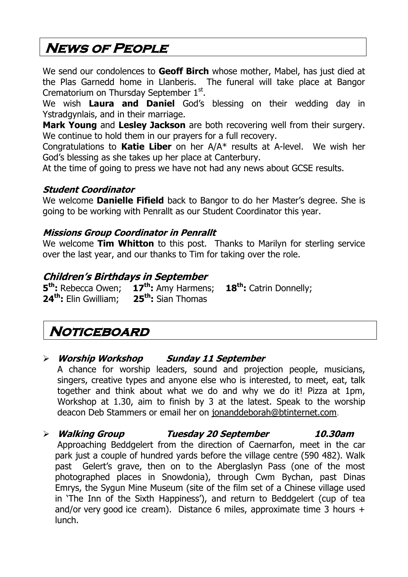# **News of People**

We send our condolences to **Geoff Birch** whose mother, Mabel, has just died at the Plas Garnedd home in Llanberis. The funeral will take place at Bangor Crematorium on Thursday September  $1<sup>st</sup>$ .

We wish **Laura and Daniel** God's blessing on their wedding day in Ystradgynlais, and in their marriage.

**Mark Young** and **Lesley Jackson** are both recovering well from their surgery. We continue to hold them in our prayers for a full recovery.

Congratulations to **Katie Liber** on her A/A\* results at A-level. We wish her God's blessing as she takes up her place at Canterbury.

At the time of going to press we have not had any news about GCSE results.

### **Student Coordinator**

We welcome **Danielle Fifield** back to Bangor to do her Master's degree. She is going to be working with Penrallt as our Student Coordinator this year.

#### **Missions Group Coordinator in Penrallt**

We welcome **Tim Whitton** to this post. Thanks to Marilyn for sterling service over the last year, and our thanks to Tim for taking over the role.

# **Children's Birthdays in September**

**5 th:** Rebecca Owen; **17th:** Amy Harmens; **18th:** Catrin Donnelly; **24th:** Elin Gwilliam; **25th:** Sian Thomas

# **Noticeboard**

### **Worship Workshop Sunday 11 September**

A chance for worship leaders, sound and projection people, musicians, singers, creative types and anyone else who is interested, to meet, eat, talk together and think about what we do and why we do it! Pizza at 1pm, Workshop at 1.30, aim to finish by 3 at the latest. Speak to the worship deacon Deb Stammers or email her on [jonanddeborah@btinternet.com](mailto:jonanddeborah@btinternet.com).

# **Walking Group Tuesday 20 September 10.30am**

Approaching Beddgelert from the direction of Caernarfon, meet in the car park just a couple of hundred yards before the village centre (590 482). Walk past Gelert's grave, then on to the Aberglaslyn Pass (one of the most photographed places in Snowdonia), through Cwm Bychan, past Dinas Emrys, the Sygun Mine Museum (site of the film set of a Chinese village used in 'The Inn of the Sixth Happiness'), and return to Beddgelert (cup of tea and/or very good ice cream). Distance 6 miles, approximate time 3 hours + lunch.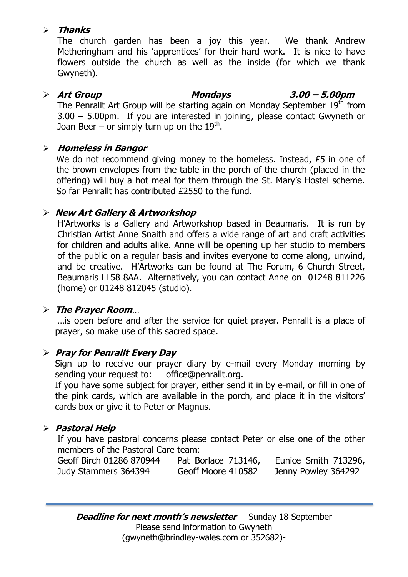### **Thanks**

The church garden has been a joy this year. We thank Andrew Metheringham and his 'apprentices' for their hard work. It is nice to have flowers outside the church as well as the inside (for which we thank Gwyneth).

#### **Art Group Mondays 3.00 – 5.00pm** The Penrallt Art Group will be starting again on Monday September 19<sup>th</sup> from

3.00 – 5.00pm. If you are interested in joining, please contact Gwyneth or Joan Beer – or simply turn up on the  $19^{\text{th}}$ .

### **Homeless in Bangor**

We do not recommend giving money to the homeless. Instead, £5 in one of the brown envelopes from the table in the porch of the church (placed in the offering) will buy a hot meal for them through the St. Mary's Hostel scheme. So far Penrallt has contributed £2550 to the fund.

# **New Art Gallery & Artworkshop**

H'Artworks is a Gallery and Artworkshop based in Beaumaris. It is run by Christian Artist Anne Snaith and offers a wide range of art and craft activities for children and adults alike. Anne will be opening up her studio to members of the public on a regular basis and invites everyone to come along, unwind, and be creative. H'Artworks can be found at The Forum, 6 Church Street, Beaumaris LL58 8AA. Alternatively, you can contact Anne on 01248 811226 (home) or 01248 812045 (studio).

### **The Prayer Room**…

…is open before and after the service for quiet prayer. Penrallt is a place of prayer, so make use of this sacred space.

# **Pray for Penrallt Every Day**

Sign up to receive our prayer diary by e-mail every Monday morning by sending your request to: [office@penrallt.org.](mailto:office@penrallt.org)

If you have some subject for prayer, either send it in by e-mail, or fill in one of the pink cards, which are available in the porch, and place it in the visitors' cards box or give it to Peter or Magnus.

# **Pastoral Help**

If you have pastoral concerns please contact Peter or else one of the other members of the Pastoral Care team:

| Geoff Birch 01286 870944 | Pat Borlace 713146, | Eunice Smith 713296, |
|--------------------------|---------------------|----------------------|
| Judy Stammers 364394     | Geoff Moore 410582  | Jenny Powley 364292  |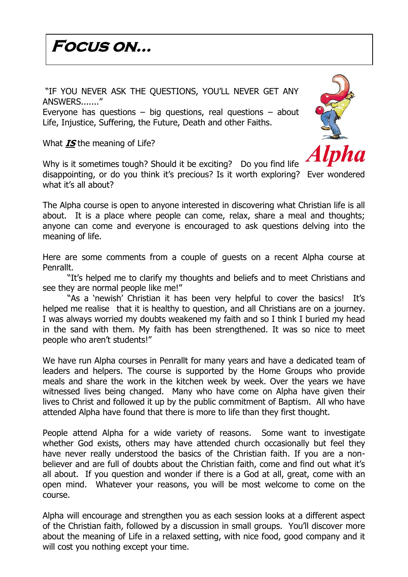# **Focus on…**

"IF YOU NEVER ASK THE QUESTIONS, YOU'LL NEVER GET ANY ANSWERS......."

Everyone has questions  $-$  big questions, real questions  $-$  about Life, Injustice, Suffering, the Future, Death and other Faiths.

What **IS** the meaning of Life?

Why is it sometimes tough? Should it be exciting? Do you find life

disappointing, or do you think it's precious? Is it worth exploring? Ever wondered what it's all about?

The Alpha course is open to anyone interested in discovering what Christian life is all about. It is a place where people can come, relax, share a meal and thoughts; anyone can come and everyone is encouraged to ask questions delving into the meaning of life.

Here are some comments from a couple of guests on a recent Alpha course at Penrallt.

"It's helped me to clarify my thoughts and beliefs and to meet Christians and see they are normal people like me!"

"As a 'newish' Christian it has been very helpful to cover the basics! It's helped me realise that it is healthy to question, and all Christians are on a journey. I was always worried my doubts weakened my faith and so I think I buried my head in the sand with them. My faith has been strengthened. It was so nice to meet people who aren't students!"

We have run Alpha courses in Penrallt for many years and have a dedicated team of leaders and helpers. The course is supported by the Home Groups who provide meals and share the work in the kitchen week by week. Over the years we have witnessed lives being changed. Many who have come on Alpha have given their lives to Christ and followed it up by the public commitment of Baptism. All who have attended Alpha have found that there is more to life than they first thought.

People attend Alpha for a wide variety of reasons. Some want to investigate whether God exists, others may have attended church occasionally but feel they have never really understood the basics of the Christian faith. If you are a nonbeliever and are full of doubts about the Christian faith, come and find out what it's all about. If you question and wonder if there is a God at all, great, come with an open mind. Whatever your reasons, you will be most welcome to come on the course.

Alpha will encourage and strengthen you as each session looks at a different aspect of the Christian faith, followed by a discussion in small groups. You'll discover more about the meaning of Life in a relaxed setting, with nice food, good company and it will cost you nothing except your time.